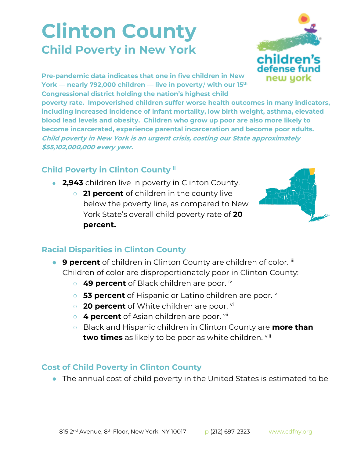## **Clinton County Child Poverty in New York**



**Pre-pandemic data indicates that one in five children in New York — nearly 792,000 children — live in poverty,<sup>i</sup> with our 15th Congressional district holding the nation's highest child** 

**poverty rate. Impoverished children suffer worse health outcomes in many indicators, including increased incidence of infant mortality, low birth weight, asthma, elevated blood lead levels and obesity. Children who grow up poor are also more likely to become incarcerated, experience parental incarceration and become poor adults. Child poverty in New York is an urgent crisis, costing our State approximately \$55,102,000,000 every year.**

## **Child Poverty in Clinton County ii**

- **2,943** children live in poverty in Clinton County.
	- **21 percent** of children in the county live below the poverty line, as compared to New York State's overall child poverty rate of **20 percent.**



## **Racial Disparities in Clinton County**

- **9 percent** of children in Clinton County are children of color. iii Children of color are disproportionately poor in Clinton County:
	- 49 percent of Black children are poor. iv
	- **53 percent** of Hispanic or Latino children are poor. **v**
	- **20 percent** of White children are poor. <sup>vi</sup>
	- **4 percent** of Asian children are poor. <sup>vii</sup>
	- Black and Hispanic children in Clinton County are **more than two times** as likely to be poor as white children. viii

## **Cost of Child Poverty in Clinton County**

● The annual cost of child poverty in the United States is estimated to be